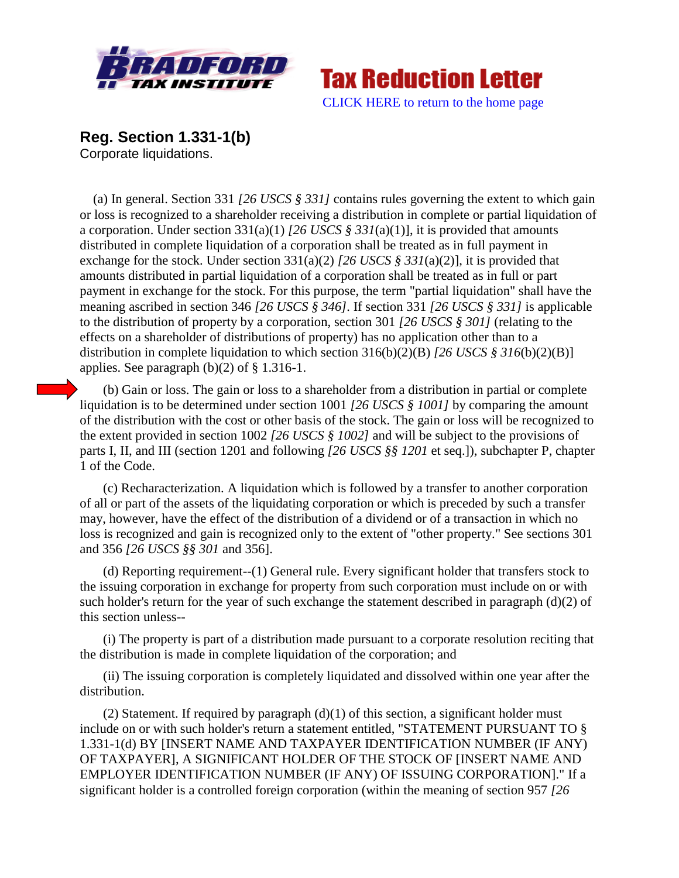



**Reg. Section 1.331-1(b)**

Corporate liquidations.

 (a) In general. Section 331 *[26 USCS § 331]* contains rules governing the extent to which gain or loss is recognized to a shareholder receiving a distribution in complete or partial liquidation of a corporation. Under section 331(a)(1) *[26 USCS § 331*(a)(1)], it is provided that amounts distributed in complete liquidation of a corporation shall be treated as in full payment in exchange for the stock. Under section 331(a)(2) *[26 USCS § 331*(a)(2)], it is provided that amounts distributed in partial liquidation of a corporation shall be treated as in full or part payment in exchange for the stock. For this purpose, the term "partial liquidation" shall have the meaning ascribed in section 346 *[26 USCS § 346].* If section 331 *[26 USCS § 331]* is applicable to the distribution of property by a corporation, section 301 *[26 USCS § 301]* (relating to the effects on a shareholder of distributions of property) has no application other than to a distribution in complete liquidation to which section 316(b)(2)(B) *[26 USCS § 316*(b)(2)(B)] applies. See paragraph (b)(2) of § 1.316-1.

(b) Gain or loss. The gain or loss to a shareholder from a distribution in partial or complete liquidation is to be determined under section 1001 *[26 USCS § 1001]* by comparing the amount of the distribution with the cost or other basis of the stock. The gain or loss will be recognized to the extent provided in section 1002 *[26 USCS § 1002]* and will be subject to the provisions of parts I, II, and III (section 1201 and following *[26 USCS §§ 1201* et seq.]), subchapter P, chapter 1 of the Code.

(c) Recharacterization. A liquidation which is followed by a transfer to another corporation of all or part of the assets of the liquidating corporation or which is preceded by such a transfer may, however, have the effect of the distribution of a dividend or of a transaction in which no loss is recognized and gain is recognized only to the extent of "other property." See sections 301 and 356 *[26 USCS §§ 301* and 356].

(d) Reporting requirement--(1) General rule. Every significant holder that transfers stock to the issuing corporation in exchange for property from such corporation must include on or with such holder's return for the year of such exchange the statement described in paragraph (d)(2) of this section unless--

(i) The property is part of a distribution made pursuant to a corporate resolution reciting that the distribution is made in complete liquidation of the corporation; and

(ii) The issuing corporation is completely liquidated and dissolved within one year after the distribution.

(2) Statement. If required by paragraph  $(d)(1)$  of this section, a significant holder must include on or with such holder's return a statement entitled, "STATEMENT PURSUANT TO § 1.331-1(d) BY [INSERT NAME AND TAXPAYER IDENTIFICATION NUMBER (IF ANY) OF TAXPAYER], A SIGNIFICANT HOLDER OF THE STOCK OF [INSERT NAME AND EMPLOYER IDENTIFICATION NUMBER (IF ANY) OF ISSUING CORPORATION]." If a significant holder is a controlled foreign corporation (within the meaning of section 957 *[26*